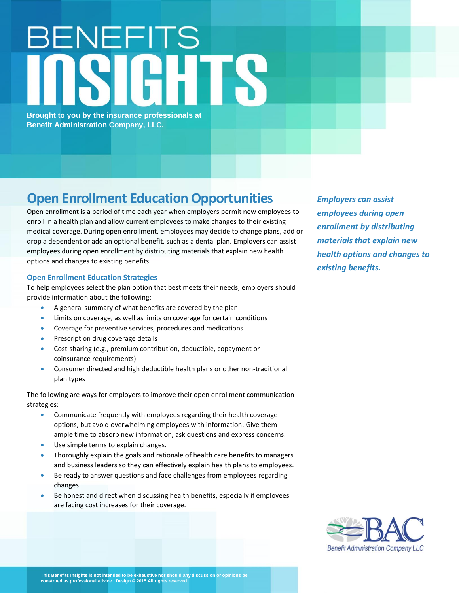## BENEFITS

**Brought to you by the insurance professionals at Benefit Administration Company, LLC.**

## **Open Enrollment Education Opportunities**

Open enrollment is a period of time each year when employers permit new employees to enroll in a health plan and allow current employees to make changes to their existing medical coverage. During open enrollment, employees may decide to change plans, add or drop a dependent or add an optional benefit, such as a dental plan. Employers can assist employees during open enrollment by distributing materials that explain new health options and changes to existing benefits.

## **Open Enrollment Education Strategies**

To help employees select the plan option that best meets their needs, employers should provide information about the following:

- A general summary of what benefits are covered by the plan
- Limits on coverage, as well as limits on coverage for certain conditions
- Coverage for preventive services, procedures and medications
- Prescription drug coverage details
- Cost-sharing (e.g., premium contribution, deductible, copayment or coinsurance requirements)
- Consumer directed and high deductible health plans or other non-traditional plan types

The following are ways for employers to improve their open enrollment communication strategies:

- Communicate frequently with employees regarding their health coverage options, but avoid overwhelming employees with information. Give them ample time to absorb new information, ask questions and express concerns.
- Use simple terms to explain changes.
- Thoroughly explain the goals and rationale of health care benefits to managers and business leaders so they can effectively explain health plans to employees.
- Be ready to answer questions and face challenges from employees regarding changes.
- Be honest and direct when discussing health benefits, especially if employees are facing cost increases for their coverage.

*Employers can assist employees during open enrollment by distributing materials that explain new health options and changes to existing benefits.*